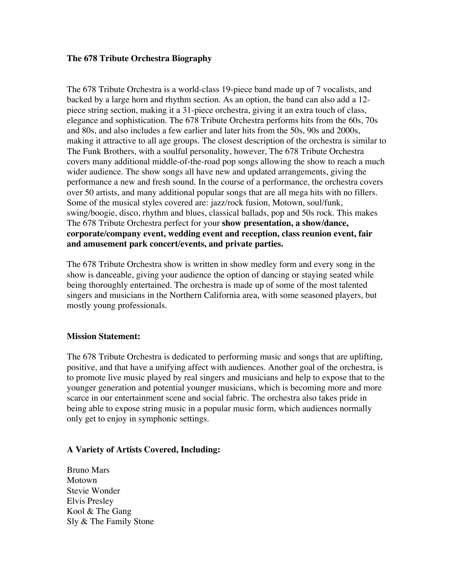## **The 678 Tribute Orchestra Biography**

The 678 Tribute Orchestra is a world-class 19-piece band made up of 7 vocalists, and backed by a large horn and rhythm section. As an option, the band can also add a 12 piece string section, making it a 31-piece orchestra, giving it an extra touch of class, elegance and sophistication. The 678 Tribute Orchestra performs hits from the 60s, 70s and 80s, and also includes a few earlier and later hits from the 50s, 90s and 2000s, making it attractive to all age groups. The closest description of the orchestra is similar to The Funk Brothers, with a soulful personality, however, The 678 Tribute Orchestra covers many additional middle-of-the-road pop songs allowing the show to reach a much wider audience. The show songs all have new and updated arrangements, giving the performance a new and fresh sound. In the course of a performance, the orchestra covers over 50 artists, and many additional popular songs that are all mega hits with no fillers. Some of the musical styles covered are: jazz/rock fusion, Motown, soul/funk, swing/boogie, disco, rhythm and blues, classical ballads, pop and 50s rock. This makes The 678 Tribute Orchestra perfect for your **show presentation, a show/dance, corporate/company event, wedding event and reception, class reunion event, fair and amusement park concert/events, and private parties.**

The 678 Tribute Orchestra show is written in show medley form and every song in the show is danceable, giving your audience the option of dancing or staying seated while being thoroughly entertained. The orchestra is made up of some of the most talented singers and musicians in the Northern California area, with some seasoned players, but mostly young professionals.

## **Mission Statement:**

The 678 Tribute Orchestra is dedicated to performing music and songs that are uplifting, positive, and that have a unifying affect with audiences. Another goal of the orchestra, is to promote live music played by real singers and musicians and help to expose that to the younger generation and potential younger musicians, which is becoming more and more scarce in our entertainment scene and social fabric. The orchestra also takes pride in being able to expose string music in a popular music form, which audiences normally only get to enjoy in symphonic settings.

## **A Variety of Artists Covered, Including:**

Bruno Mars Motown Stevie Wonder Elvis Presley Kool & The Gang Sly & The Family Stone